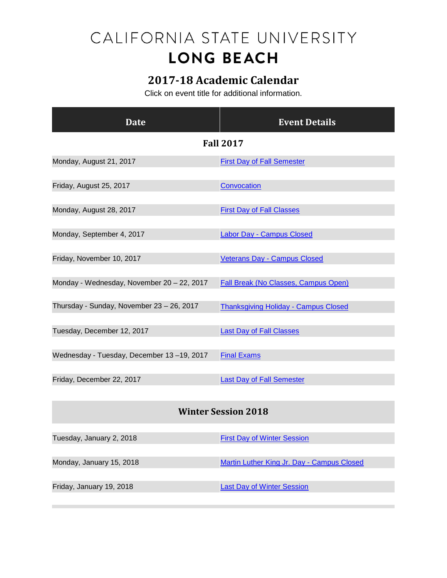## CALIFORNIA STATE UNIVERSITY **LONG BEACH**

## **2017-18 Academic Calendar**

Click on event title for additional information.

| <b>Date</b>                                | <b>Event Details</b>                        |
|--------------------------------------------|---------------------------------------------|
| <b>Fall 2017</b>                           |                                             |
| Monday, August 21, 2017                    | <b>First Day of Fall Semester</b>           |
| Friday, August 25, 2017                    | Convocation                                 |
| Monday, August 28, 2017                    | <b>First Day of Fall Classes</b>            |
| Monday, September 4, 2017                  | <b>Labor Day - Campus Closed</b>            |
| Friday, November 10, 2017                  | <b>Veterans Day - Campus Closed</b>         |
| Monday - Wednesday, November 20 - 22, 2017 | <b>Fall Break (No Classes, Campus Open)</b> |
| Thursday - Sunday, November 23 - 26, 2017  | <b>Thanksgiving Holiday - Campus Closed</b> |
| Tuesday, December 12, 2017                 | <b>Last Day of Fall Classes</b>             |
| Wednesday - Tuesday, December 13-19, 2017  | <b>Final Exams</b>                          |
| Friday, December 22, 2017                  | <b>Last Day of Fall Semester</b>            |
| <b>Winter Session 2018</b>                 |                                             |
| Tuesday, January 2, 2018                   | <b>First Day of Winter Session</b>          |

Monday, January 15, 2018 [Martin Luther King Jr. Day -](http://calendar.aa.csulb.edu/EventList.aspx?fromdate=1/1/2018&todate=1/31/2018&display=Month&type=public&eventidn=2250&view=EventDetails&information_id=4582) Campus Closed

Friday, January 19, 2018 **[Last Day of Winter Session](http://calendar.aa.csulb.edu/EventList.aspx?fromdate=1/1/2018&todate=1/31/2018&display=Month&type=public&eventidn=2251&view=EventDetails&information_id=4584)**